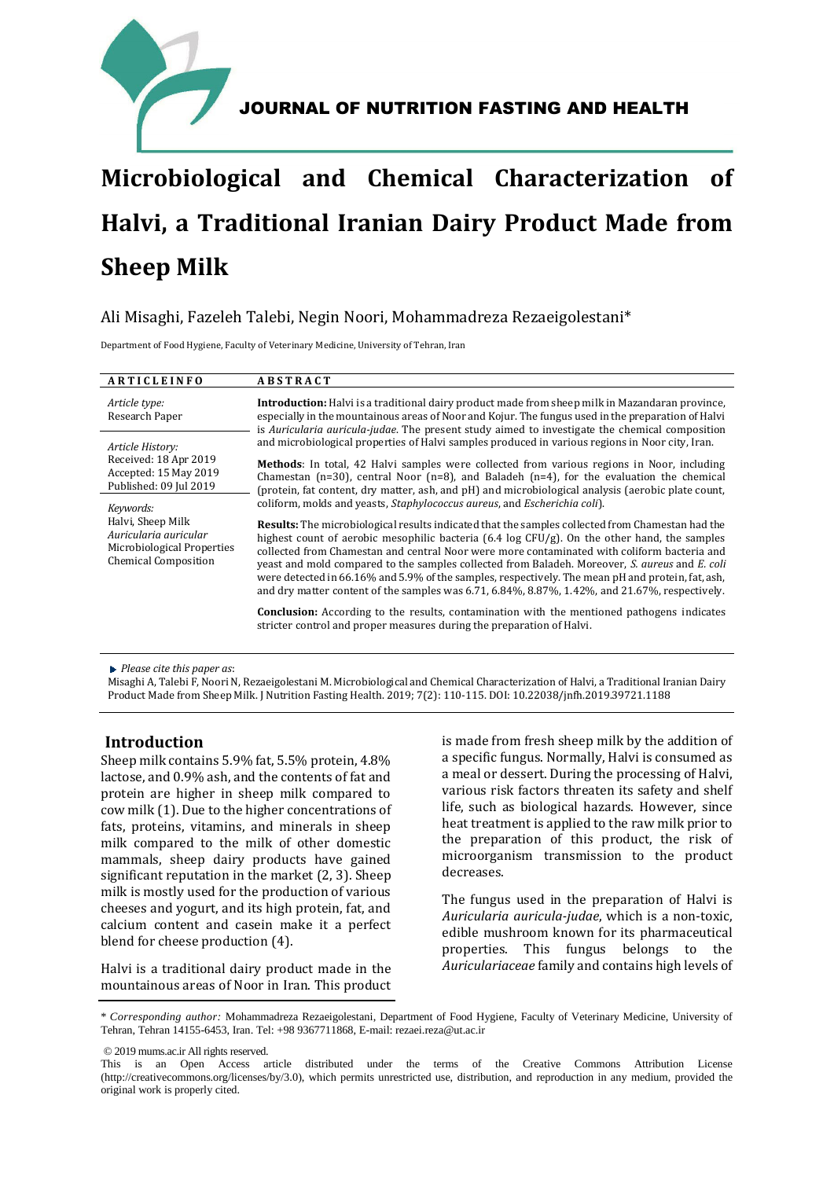

# **Microbiological and Chemical Characterization of Halvi, a Traditional Iranian Dairy Product Made from Sheep Milk**

# Ali Misaghi, Fazeleh Talebi, Negin Noori, Mohammadreza Rezaeigolestani\*

Department of Food Hygiene, Faculty of Veterinary Medicine, University of Tehran, Iran

| ARTICLEINFO                                                                                                          | <b>ABSTRACT</b>                                                                                                                                                                                                                                                                                                                                                                                                                                                                                                                                                                                                     |  |
|----------------------------------------------------------------------------------------------------------------------|---------------------------------------------------------------------------------------------------------------------------------------------------------------------------------------------------------------------------------------------------------------------------------------------------------------------------------------------------------------------------------------------------------------------------------------------------------------------------------------------------------------------------------------------------------------------------------------------------------------------|--|
| Article type:<br>Research Paper                                                                                      | <b>Introduction:</b> Halvi is a traditional dairy product made from sheep milk in Mazandaran province,<br>especially in the mountainous areas of Noor and Kojur. The fungus used in the preparation of Halvi<br>is Auricularia auricula-judae. The present study aimed to investigate the chemical composition                                                                                                                                                                                                                                                                                                      |  |
| Article History:                                                                                                     | and microbiological properties of Halvi samples produced in various regions in Noor city, Iran.                                                                                                                                                                                                                                                                                                                                                                                                                                                                                                                     |  |
| Received: 18 Apr 2019<br>Accepted: 15 May 2019<br>Published: 09 Jul 2019                                             | Methods: In total, 42 Halvi samples were collected from various regions in Noor, including<br>Chamestan ( $n=30$ ), central Noor ( $n=8$ ), and Baladeh ( $n=4$ ), for the evaluation the chemical<br>(protein, fat content, dry matter, ash, and pH) and microbiological analysis (aerobic plate count,                                                                                                                                                                                                                                                                                                            |  |
| Keywords:<br>Halvi, Sheep Milk<br>Auricularia auricular<br>Microbiological Properties<br><b>Chemical Composition</b> | coliform, molds and yeasts, <i>Staphylococcus aureus</i> , and <i>Escherichia coli</i> ).                                                                                                                                                                                                                                                                                                                                                                                                                                                                                                                           |  |
|                                                                                                                      | <b>Results:</b> The microbiological results indicated that the samples collected from Chamestan had the<br>highest count of aerobic mesophilic bacteria $(6.4 \log CFU/g)$ . On the other hand, the samples<br>collected from Chamestan and central Noor were more contaminated with coliform bacteria and<br>yeast and mold compared to the samples collected from Baladeh. Moreover, S. aureus and E. coli<br>were detected in 66.16% and 5.9% of the samples, respectively. The mean pH and protein, fat, ash,<br>and dry matter content of the samples was 6.71, 6.84%, 8.87%, 1.42%, and 21.67%, respectively. |  |
|                                                                                                                      | <b>Conclusion:</b> According to the results, contamination with the mentioned pathogens indicates<br>stricter control and proper measures during the preparation of Halvi.                                                                                                                                                                                                                                                                                                                                                                                                                                          |  |

*Please cite this paper as*:

Misaghi A, Talebi F, Noori N, Rezaeigolestani M. Microbiological and Chemical Characterization of Halvi, a Traditional Iranian Dairy Product Made from Sheep Milk. J Nutrition Fasting Health. 2019; 7(2): 110-115. DOI: 10.22038/jnfh.2019.39721.1188

# **Introduction**

Sheep milk contains 5.9% fat, 5.5% protein, 4.8% lactose, and 0.9% ash, and the contents of fat and protein are higher in sheep milk compared to cow milk (1). Due to the higher concentrations of fats, proteins, vitamins, and minerals in sheep milk compared to the milk of other domestic mammals, sheep dairy products have gained significant reputation in the market (2, 3). Sheep milk is mostly used for the production of various cheeses and yogurt, and its high protein, fat, and calcium content and casein make it a perfect blend for cheese production (4).

Halvi is a traditional dairy product made in the mountainous areas of Noor in Iran. This product is made from fresh sheep milk by the addition of a specific fungus. Normally, Halvi is consumed as a meal or dessert. During the processing of Halvi, various risk factors threaten its safety and shelf life, such as biological hazards. However, since heat treatment is applied to the raw milk prior to the preparation of this product, the risk of microorganism transmission to the product decreases.

The fungus used in the preparation of Halvi is *Auricularia auricula-judae*, which is a non-toxic, edible mushroom known for its pharmaceutical properties. This fungus belongs to the *Auriculariaceae* family and contains high levels of

© 2019 mums.ac.ir All rights reserved.

<sup>\*</sup> *Corresponding author:* Mohammadreza Rezaeigolestani, Department of Food Hygiene, Faculty of Veterinary Medicine, University of Tehran, Tehran 14155-6453, Iran. Tel: +98 9367711868, E-mail: rezaei.reza@ut.ac.ir

This is an Open Access article distributed under the terms of the Creative Commons Attribution License (http://creativecommons.org/licenses/by/3.0), which permits unrestricted use, distribution, and reproduction in any medium, provided the original work is properly cited.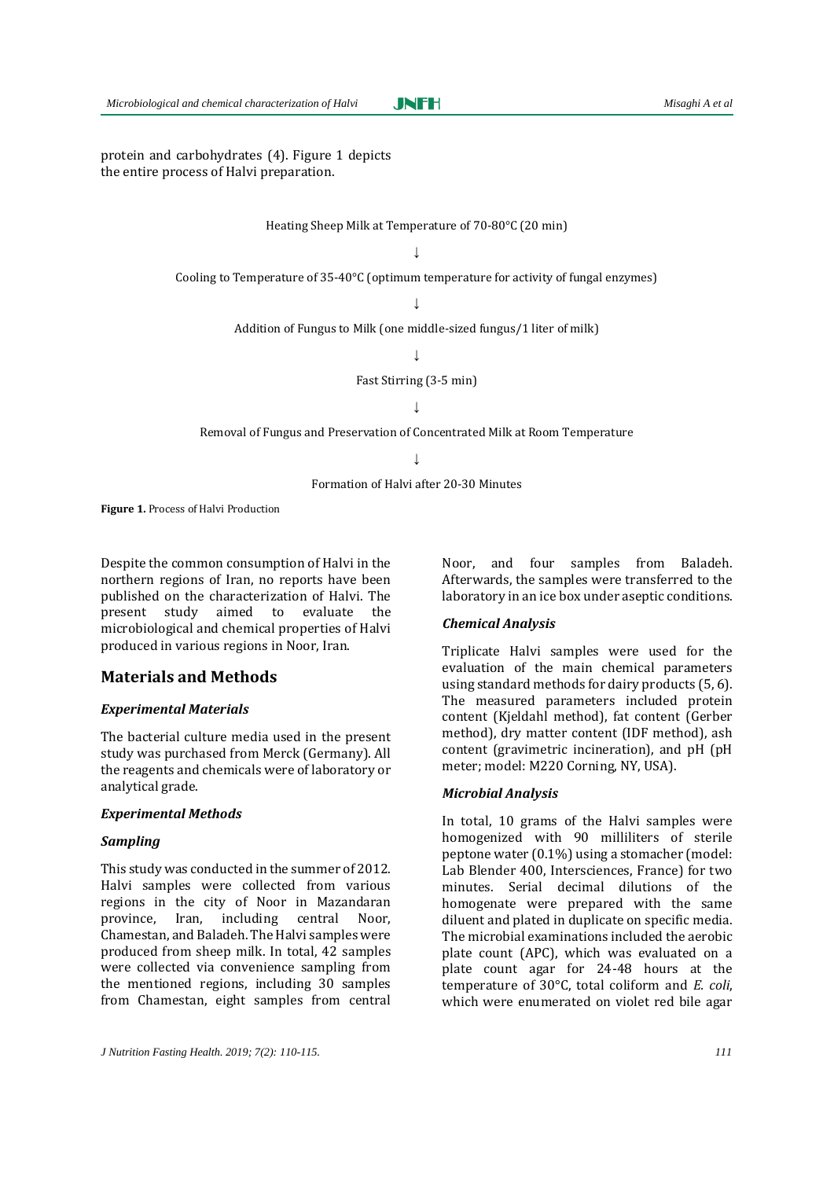JNFH

protein and carbohydrates (4). Figure 1 depicts the entire process of Halvi preparation.

Heating Sheep Milk at Temperature of 70-80°C (20 min)

 $\bar{\mathbf{r}}$ 

Cooling to Temperature of 35-40°C (optimum temperature for activity of fungal enzymes)

↓

Addition of Fungus to Milk (one middle-sized fungus/1 liter of milk)

 $\perp$ 

Fast Stirring (3-5 min)

↓

Removal of Fungus and Preservation of Concentrated Milk at Room Temperature

↓

Formation of Halvi after 20-30 Minutes

**Figure 1.** Process of Halvi Production

Despite the common consumption of Halvi in the northern regions of Iran, no reports have been published on the characterization of Halvi. The present study aimed to evaluate the microbiological and chemical properties of Halvi produced in various regions in Noor, Iran.

#### **Materials and Methods**

#### *Experimental Materials*

The bacterial culture media used in the present study was purchased from Merck (Germany). All the reagents and chemicals were of laboratory or analytical grade.

#### *Experimental Methods*

#### *Sampling*

This study was conducted in the summer of 2012. Halvi samples were collected from various regions in the city of Noor in Mazandaran province, Iran, including central Noor, Chamestan, and Baladeh. The Halvi samples were produced from sheep milk. In total, 42 samples were collected via convenience sampling from the mentioned regions, including 30 samples from Chamestan, eight samples from central

Noor, and four samples from Baladeh. Afterwards, the samples were transferred to the laboratory in an ice box under aseptic conditions.

#### *Chemical Analysis*

Triplicate Halvi samples were used for the evaluation of the main chemical parameters using standard methods for dairy products (5, 6). The measured parameters included protein content (Kjeldahl method), fat content (Gerber method), dry matter content (IDF method), ash content (gravimetric incineration), and pH (pH meter; model: M220 Corning, NY, USA).

#### *Microbial Analysis*

In total, 10 grams of the Halvi samples were homogenized with 90 milliliters of sterile peptone water (0.1%) using a stomacher (model: Lab Blender 400, Intersciences, France) for two minutes. Serial decimal dilutions of the homogenate were prepared with the same diluent and plated in duplicate on specific media. The microbial examinations included the aerobic plate count (APC), which was evaluated on a plate count agar for 24-48 hours at the temperature of 30°C, total coliform and *E. coli*, which were enumerated on violet red bile agar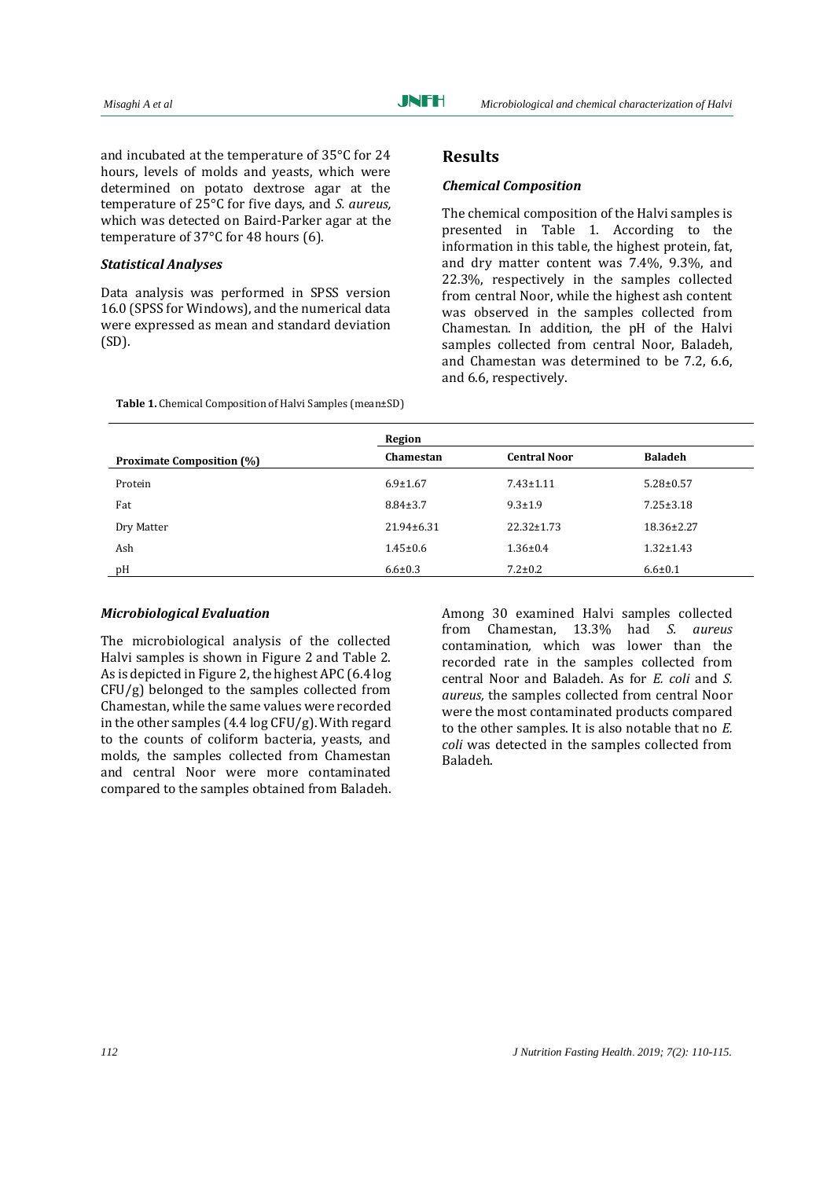and incubated at the temperature of 35°C for 24 hours, levels of molds and yeasts, which were determined on potato dextrose agar at the temperature of 25°C for five days, and *S. aureus,*  which was detected on Baird-Parker agar at the temperature of 37°C for 48 hours (6).

#### *Statistical Analyses*

Data analysis was performed in SPSS version 16.0 (SPSS for Windows), and the numerical data were expressed as mean and standard deviation (SD).

**Table 1.** Chemical Composition of Halvi Samples (mean±SD)

#### **Results**

#### *Chemical Composition*

The chemical composition of the Halvi samples is presented in Table 1. According to the information in this table, the highest protein, fat, and dry matter content was 7.4%, 9.3%, and 22.3%, respectively in the samples collected from central Noor, while the highest ash content was observed in the samples collected from Chamestan. In addition, the pH of the Halvi samples collected from central Noor, Baladeh, and Chamestan was determined to be 7.2, 6.6, and 6.6, respectively.

|                                  | Region           |                     |                 |
|----------------------------------|------------------|---------------------|-----------------|
| <b>Proximate Composition (%)</b> | Chamestan        | <b>Central Noor</b> | <b>Baladeh</b>  |
| Protein                          | $6.9 \pm 1.67$   | $7.43 \pm 1.11$     | $5.28 \pm 0.57$ |
| Fat                              | $8.84 \pm 3.7$   | $9.3 \pm 1.9$       | $7.25 \pm 3.18$ |
| Dry Matter                       | $21.94 \pm 6.31$ | $22.32 \pm 1.73$    | 18.36±2.27      |
| Ash                              | $1.45 \pm 0.6$   | $1.36 \pm 0.4$      | $1.32 \pm 1.43$ |
| pH                               | $6.6 \pm 0.3$    | $7.2 \pm 0.2$       | $6.6 \pm 0.1$   |

#### *Microbiological Evaluation*

The microbiological analysis of the collected Halvi samples is shown in Figure 2 and Table 2. As is depicted in Figure 2, the highest APC (6.4 log CFU/g) belonged to the samples collected from Chamestan, while the same values were recorded in the other samples (4.4 log CFU/g). With regard to the counts of coliform bacteria, yeasts, and molds, the samples collected from Chamestan and central Noor were more contaminated compared to the samples obtained from Baladeh. Among 30 examined Halvi samples collected from Chamestan, 13.3% had *S. aureus*  contamination*,* which was lower than the recorded rate in the samples collected from central Noor and Baladeh. As for *E. coli* and *S. aureus,* the samples collected from central Noor were the most contaminated products compared to the other samples. It is also notable that no *E. coli* was detected in the samples collected from Baladeh.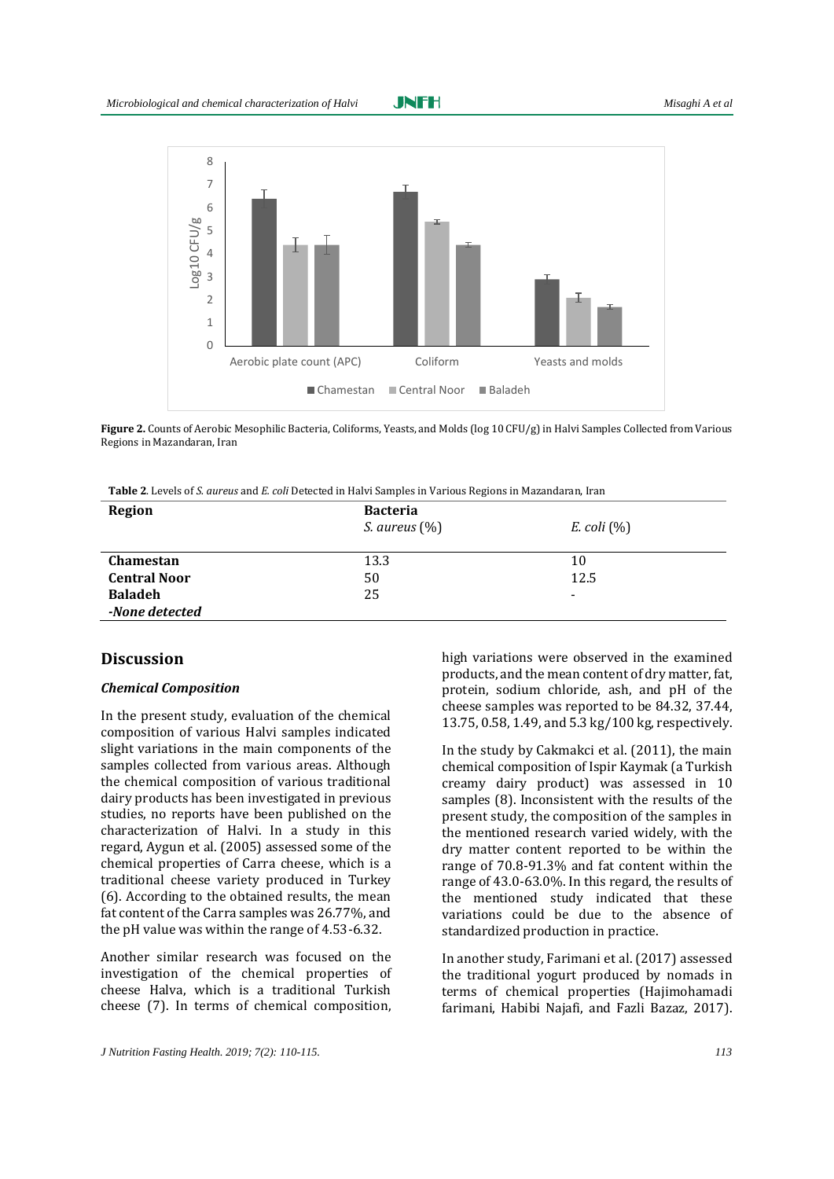

**Figure 2.** Counts of Aerobic Mesophilic Bacteria, Coliforms, Yeasts, and Molds (log 10 CFU/g) in Halvi Samples Collected from Various Regions in Mazandaran, Iran

| <b>Region</b>       | <b>Bacteria</b>         |                          |  |
|---------------------|-------------------------|--------------------------|--|
|                     | <i>S. aureus</i> $(\%)$ | $E.$ coli $(\%)$         |  |
|                     |                         |                          |  |
| Chamestan           | 13.3                    | 10                       |  |
| <b>Central Noor</b> | 50                      | 12.5                     |  |
| <b>Baladeh</b>      | 25                      | $\overline{\phantom{a}}$ |  |
| -None detected      |                         |                          |  |

### **Discussion**

#### *Chemical Composition*

In the present study, evaluation of the chemical composition of various Halvi samples indicated slight variations in the main components of the samples collected from various areas. Although the chemical composition of various traditional dairy products has been investigated in previous studies, no reports have been published on the characterization of Halvi. In a study in this regard, Aygun et al. (2005) assessed some of the chemical properties of Carra cheese, which is a traditional cheese variety produced in Turkey (6). According to the obtained results, the mean fat content of the Carra samples was 26.77%, and the pH value was within the range of 4.53-6.32.

Another similar research was focused on the investigation of the chemical properties of cheese Halva, which is a traditional Turkish cheese (7). In terms of chemical composition,

high variations were observed in the examined products, and the mean content of dry matter, fat, protein, sodium chloride, ash, and pH of the cheese samples was reported to be 84.32, 37.44, 13.75, 0.58, 1.49, and 5.3 kg/100 kg, respectively.

In the study by Cakmakci et al. (2011), the main chemical composition of Ispir Kaymak (a Turkish creamy dairy product) was assessed in 10 samples (8). Inconsistent with the results of the present study, the composition of the samples in the mentioned research varied widely, with the dry matter content reported to be within the range of 70.8-91.3% and fat content within the range of 43.0-63.0%. In this regard, the results of the mentioned study indicated that these variations could be due to the absence of standardized production in practice.

In another study, Farimani et al. (2017) assessed the traditional yogurt produced by nomads in terms of chemical properties (Hajimohamadi farimani, Habibi Najafi, and Fazli Bazaz, 2017).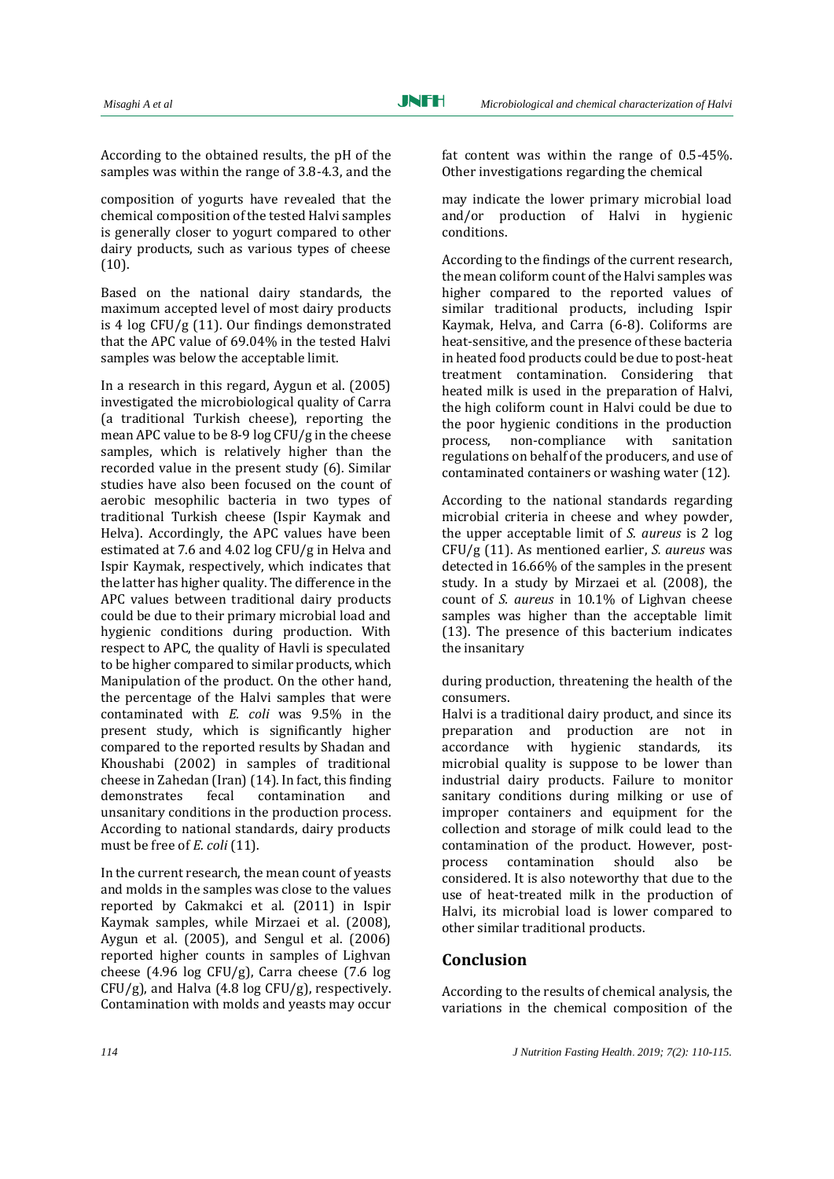According to the obtained results, the pH of the samples was within the range of 3.8-4.3, and the

composition of yogurts have revealed that the chemical composition of the tested Halvi samples is generally closer to yogurt compared to other dairy products, such as various types of cheese (10).

Based on the national dairy standards, the maximum accepted level of most dairy products is 4 log CFU/g (11). Our findings demonstrated that the APC value of 69.04% in the tested Halvi samples was below the acceptable limit.

In a research in this regard, Aygun et al. (2005) investigated the microbiological quality of Carra (a traditional Turkish cheese), reporting the mean APC value to be 8-9 log CFU/g in the cheese samples, which is relatively higher than the recorded value in the present study (6). Similar studies have also been focused on the count of aerobic mesophilic bacteria in two types of traditional Turkish cheese (Ispir Kaymak and Helva). Accordingly, the APC values have been estimated at 7.6 and 4.02 log CFU/g in Helva and Ispir Kaymak, respectively, which indicates that the latter has higher quality. The difference in the APC values between traditional dairy products could be due to their primary microbial load and hygienic conditions during production. With respect to APC, the quality of Havli is speculated to be higher compared to similar products, which Manipulation of the product. On the other hand, the percentage of the Halvi samples that were contaminated with *E. coli* was 9.5% in the present study, which is significantly higher compared to the reported results by Shadan and Khoushabi (2002) in samples of traditional cheese in Zahedan (Iran) (14). In fact, this finding demonstrates fecal contamination and unsanitary conditions in the production process. According to national standards, dairy products must be free of *E. coli* (11).

In the current research, the mean count of yeasts and molds in the samples was close to the values reported by Cakmakci et al. (2011) in Ispir Kaymak samples, while Mirzaei et al. (2008), Aygun et al. (2005), and Sengul et al. (2006) reported higher counts in samples of Lighvan cheese (4.96 log CFU/g), Carra cheese (7.6 log  $CFU/g$ ), and Halva (4.8 log  $CFU/g$ ), respectively. Contamination with molds and yeasts may occur fat content was within the range of 0.5-45%. Other investigations regarding the chemical

may indicate the lower primary microbial load and/or production of Halvi in hygienic conditions.

According to the findings of the current research, the mean coliform count of the Halvi samples was higher compared to the reported values of similar traditional products, including Ispir Kaymak, Helva, and Carra (6-8). Coliforms are heat-sensitive, and the presence of these bacteria in heated food products could be due to post-heat treatment contamination. Considering that heated milk is used in the preparation of Halvi, the high coliform count in Halvi could be due to the poor hygienic conditions in the production process, non-compliance with sanitation regulations on behalf of the producers, and use of contaminated containers or washing water (12).

According to the national standards regarding microbial criteria in cheese and whey powder, the upper acceptable limit of *S. aureus* is 2 log CFU/g (11). As mentioned earlier, *S. aureus* was detected in 16.66% of the samples in the present study. In a study by Mirzaei et al. (2008), the count of *S. aureus* in 10.1% of Lighvan cheese samples was higher than the acceptable limit (13). The presence of this bacterium indicates the insanitary

during production, threatening the health of the consumers.

Halvi is a traditional dairy product, and since its preparation and production are not in accordance with hygienic standards, its microbial quality is suppose to be lower than industrial dairy products. Failure to monitor sanitary conditions during milking or use of improper containers and equipment for the collection and storage of milk could lead to the contamination of the product. However, postprocess contamination should also be considered. It is also noteworthy that due to the use of heat-treated milk in the production of Halvi, its microbial load is lower compared to other similar traditional products.

# **Conclusion**

According to the results of chemical analysis, the variations in the chemical composition of the